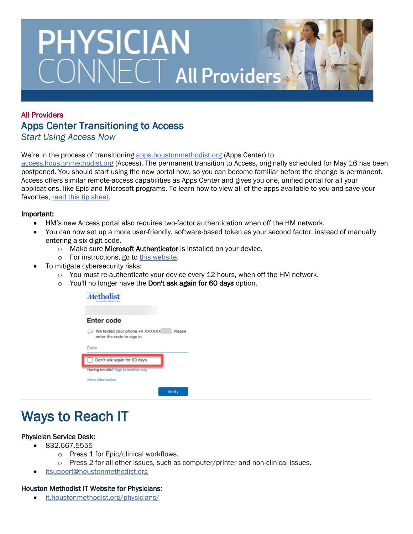# **PHYSICIAN** CONNECT All Providers

### All Providers Apps Center Transitioning to Access *Start Using Access Now*

#### We're in the process of transitioning [apps.houstonmethodist.org](https://ctxapps.houstonmethodist.org/Citrix/CTXAPPSWeb/) (Apps Center) to

[access.houstonmethodist.org](https://hmaccess.workspaceoneaccess.com/catalog-portal/ui#/apps) (Access). The permanent transition to Access, originally scheduled for May 16 has been postponed. You should start using the new portal now, so you can become familiar before the change is permanent. Access offers similar remote-access capabilities as Apps Center and gives you one, unified portal for all your applications, like Epic and Microsoft programs. To learn how to view all of the apps available to you and save your favorites, [read this tip sheet.](https://it.houstonmethodist.org/wp-content/uploads/2022/04/ITM-Link-Out_Access-Portal-Message_041222.pdf)

### Important:

- HM's new Access portal also requires two-factor authentication when off the HM network.
- You can now set up a more user-friendly, software-based token as your second factor, instead of manually entering a six-digit code.
	- o Make sure Microsoft Authenticator is installed on your device.
	- o For instructions, go to [this website.](https://it.houstonmethodist.org/authenticator/)
- To mitigate cybersecurity risks:
	- $\circ$  You must re-authenticate your device every 12 hours, when off the HM network.
	- o You'll no longer have the Don't ask again for 60 days option.

| HOUSTON<br><b>ihalict</b><br>ADING MEDICINE                            |
|------------------------------------------------------------------------|
| Enter code                                                             |
| We texted your phone +X XXXXXX<br>Please<br>enter the code to sign in. |
| Code                                                                   |
| Don't ask again for 60 days                                            |
| Having trouble? Sign in another way                                    |
| More information                                                       |
| Verify                                                                 |

## Ways to Reach IT

### Physician Service Desk:

- 832.667.5555
	- o Press 1 for Epic/clinical workflows.
	- o Press 2 for all other issues, such as computer/printer and non-clinical issues.
- [itsupport@houstonmethodist.org](mailto:itsupport@houstonmethodist.org)

### Houston Methodist IT Website for Physicians:

• [it.houstonmethodist.org/physicians/](https://it.houstonmethodist.org/physicians/)